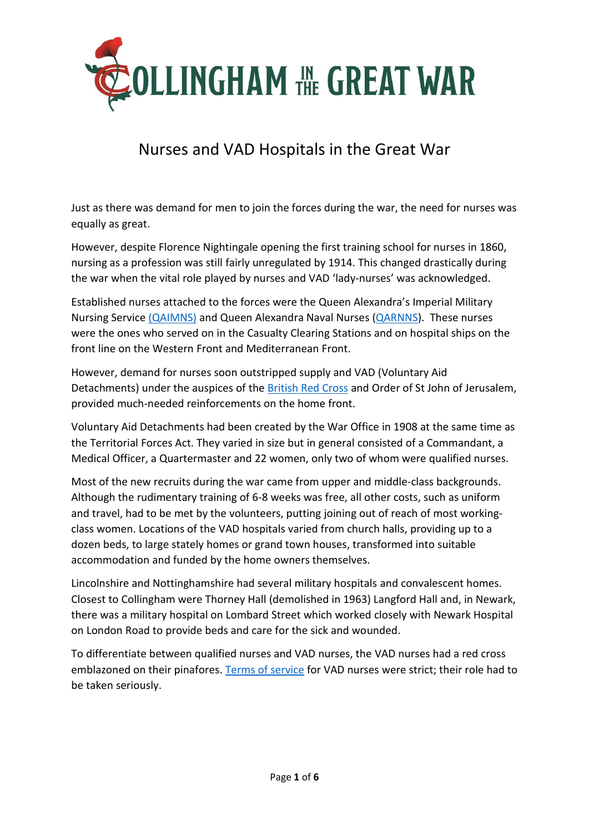

# Nurses and VAD Hospitals in the Great War

Just as there was demand for men to join the forces during the war, the need for nurses was equally as great.

However, despite Florence Nightingale opening the first training school for nurses in 1860, nursing as a profession was still fairly unregulated by 1914. This changed drastically during the war when the vital role played by nurses and VAD 'lady-nurses' was acknowledged.

Established nurses attached to the forces were the Queen Alexandra's Imperial Military Nursing Service [\(QAIMNS\)](http://www.qaranc.co.uk/qaimns.php) and Queen Alexandra Naval Nurses [\(QARNNS\)](http://www.haslarheritagegroup.co.uk/index.php?option=com_content&view=article&id=70). These nurses were the ones who served on in the Casualty Clearing Stations and on hospital ships on the front line on the Western Front and Mediterranean Front.

However, demand for nurses soon outstripped supply and VAD (Voluntary Aid Detachments) under the auspices of the [British Red Cross](https://vad.redcross.org.uk/) and Order of St John of Jerusalem, provided much-needed reinforcements on the home front.

Voluntary Aid Detachments had been created by the War Office in 1908 at the same time as the Territorial Forces Act. They varied in size but in general consisted of a Commandant, a Medical Officer, a Quartermaster and 22 women, only two of whom were qualified nurses.

Most of the new recruits during the war came from upper and middle-class backgrounds. Although the rudimentary training of 6-8 weeks was free, all other costs, such as uniform and travel, had to be met by the volunteers, putting joining out of reach of most workingclass women. Locations of the VAD hospitals varied from church halls, providing up to a dozen beds, to large stately homes or grand town houses, transformed into suitable accommodation and funded by the home owners themselves.

Lincolnshire and Nottinghamshire had several military hospitals and convalescent homes. Closest to Collingham were Thorney Hall (demolished in 1963) Langford Hall and, in Newark, there was a military hospital on Lombard Street which worked closely with Newark Hospital on London Road to provide beds and care for the sick and wounded.

To differentiate between qualified nurses and VAD nurses, the VAD nurses had a red cross emblazoned on their pinafores[. Terms of service](http://www.scarletfinders.co.uk/183.html) for VAD nurses were strict; their role had to be taken seriously.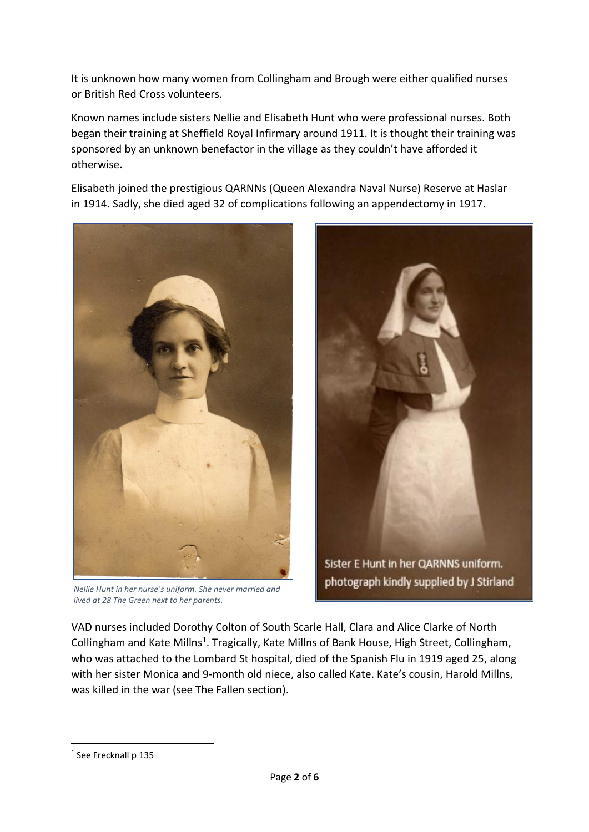It is unknown how many women from Collingham and Brough were either qualified nurses or British Red Cross volunteers.

Known names include sisters Nellie and Elisabeth Hunt who were professional nurses. Both began their training at Sheffield Royal Infirmary around 1911. It is thought their training was sponsored by an unknown benefactor in the village as they couldn't have afforded it otherwise.

Elisabeth joined the prestigious QARNNs (Queen Alexandra Naval Nurse) Reserve at Haslar in 1914. Sadly, she died aged 32 of complications following an appendectomy in 1917.



*Nellie Hunt in her nurse's uniform. She never married and lived at 28 The Green next to her parents.* 



photograph kindly supplied by J Stirland

VAD nurses included Dorothy Colton of South Scarle Hall, Clara and Alice Clarke of North Collingham and Kate Millns<sup>1</sup>. Tragically, Kate Millns of Bank House, High Street, Collingham, who was attached to the Lombard St hospital, died of the Spanish Flu in 1919 aged 25, along with her sister Monica and 9-month old niece, also called Kate. Kate's cousin, Harold Millns, was killed in the war (see The Fallen section).

**.** 

<sup>1</sup> See Frecknall p 135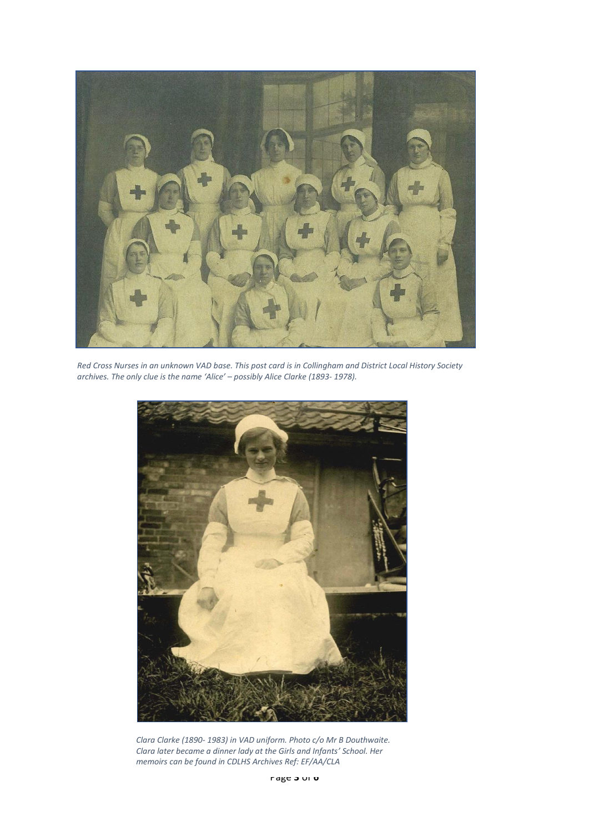

*Red Cross Nurses in an unknown VAD base. This post card is in Collingham and District Local History Society archives. The only clue is the name 'Alice' – possibly Alice Clarke (1893- 1978).* 



*Clara Clarke (1890- 1983) in VAD uniform. Photo c/o Mr B Douthwaite. Clara later became a dinner lady at the Girls and Infants' School. Her memoirs can be found in CDLHS Archives Ref: EF/AA/CLA*

Page **3** of **6**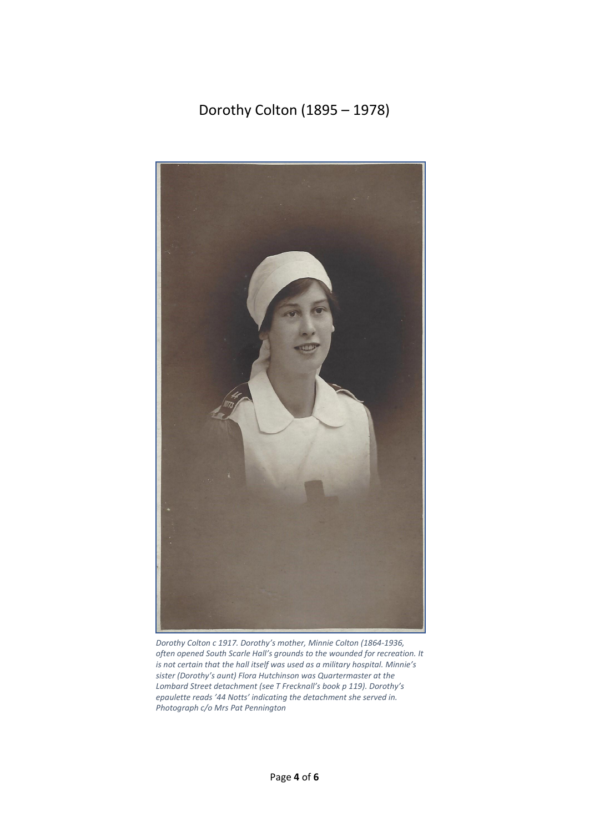Dorothy Colton (1895 – 1978)



*Dorothy Colton c 1917. Dorothy's mother, Minnie Colton (1864-1936, often opened South Scarle Hall's grounds to the wounded for recreation. It is not certain that the hall itself was used as a military hospital. Minnie's sister (Dorothy's aunt) Flora Hutchinson was Quartermaster at the Lombard Street detachment (see T Frecknall's book p 119). Dorothy's epaulette reads '44 Notts' indicating the detachment she served in. Photograph c/o Mrs Pat Pennington*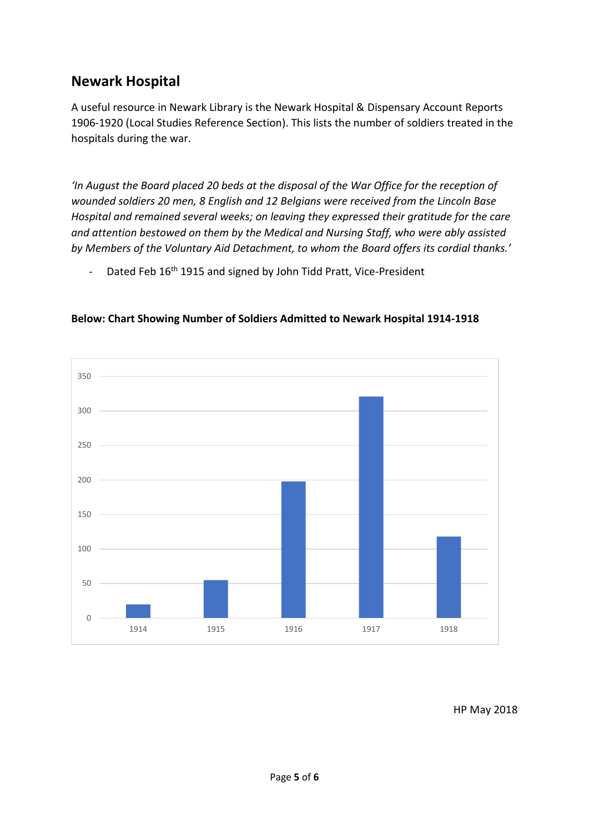### **Newark Hospital**

A useful resource in Newark Library is the Newark Hospital & Dispensary Account Reports 1906-1920 (Local Studies Reference Section). This lists the number of soldiers treated in the hospitals during the war.

*'In August the Board placed 20 beds at the disposal of the War Office for the reception of wounded soldiers 20 men, 8 English and 12 Belgians were received from the Lincoln Base Hospital and remained several weeks; on leaving they expressed their gratitude for the care and attention bestowed on them by the Medical and Nursing Staff, who were ably assisted by Members of the Voluntary Aid Detachment, to whom the Board offers its cordial thanks.'*

- Dated Feb 16<sup>th</sup> 1915 and signed by John Tidd Pratt, Vice-President



#### **Below: Chart Showing Number of Soldiers Admitted to Newark Hospital 1914-1918**

HP May 2018